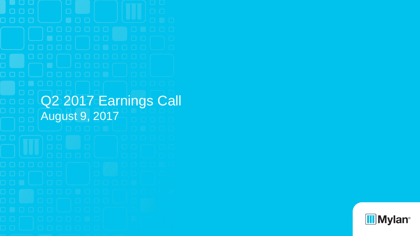Q<sub>2</sub> 2017 Earnings Call August 9, 2017

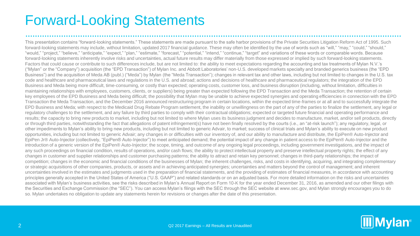# Forward-Looking Statements

This presentation contains "forward-looking statements." These statements are made pursuant to the safe harbor provisions of the Private Securities Litigation Reform Act of 1995. Such forward-looking statements may include, without limitation, updated 2017 financial quidance. These may often be identified by the use of words such as "will," "may," "could," "should," "would," "project," "believe," "anticipate," "expect," "plan," "estimate," "forecast," "potential," "intend," "continue," "target" and variations of these words or comparable words. Because forward-looking statements inherently involve risks and uncertainties, actual future results may differ materially from those expressed or implied by such forward-looking statements. Factors that could cause or contribute to such differences include, but are not limited to: the ability to meet expectations regarding the accounting and tax treatments of Mylan N.V.'s ("Mylan" or the "Company") acquisition (the "EPD Transaction") of Mylan Inc. and Abbott Laboratories' non-U.S. developed markets specialty and branded generics business (the "EPD Business") and the acquisition of Meda AB (publ.) ("Meda") by Mylan (the "Meda Transaction"); changes in relevant tax and other laws, including but not limited to changes in the U.S. tax code and healthcare and pharmaceutical laws and regulations in the U.S. and abroad; actions and decisions of healthcare and pharmaceutical regulators; the integration of the EPD Business and Meda being more difficult, time-consuming, or costly than expected; operating costs, customer loss, and business disruption (including, without limitation, difficulties in maintaining relationships with employees, customers, clients, or suppliers) being greater than expected following the EPD Transaction and the Meda Transaction; the retention of certain key employees of the EPD Business and Meda being difficult; the possibility that Mylan may be unable to achieve expected synergies and operating efficiencies in connection with the EPD Transaction the Meda Transaction, and the December 2016 announced restructuring program in certain locations, within the expected time-frames or at all and to successfully integrate the EPD Business and Meda; with respect to the Medicaid Drug Rebate Program settlement, the inability or unwillingness on the part of any of the parties to finalize the settlement, any legal or regulatory challenges to the settlement, and any failure by third parties to comply with their contractual obligations; expected or targeted future financial and operating performance and results; the capacity to bring new products to market, including but not limited to where Mylan uses its business judgment and decides to manufacture, market, and/or sell products, directly or through third parties, notwithstanding the fact that allegations of patent infringement(s) have not been finally resolved by the courts (i.e., an "at-risk launch"); any regulatory, legal, or other impediments to Mylan's ability to bring new products, including but not limited to generic Advair, to market; success of clinical trials and Mylan's ability to execute on new product opportunities, including but not limited to generic Advair; any changes in or difficulties with our inventory of, and our ability to manufacture and distribute, the EpiPen® Auto-Injector and EpiPen Jr® Auto-Injector (collectively, "EpiPen® Auto-Injector") to meet anticipated demand; the potential impact of any change in patient access to the EpiPen® Auto-Injector and the introduction of a generic version of the EpiPen® Auto-Injector; the scope, timing, and outcome of any ongoing legal proceedings, including government investigations, and the impact of any such proceedings on financial condition, results of operations, and/or cash flows; the ability to protect intellectual property and preserve intellectual property rights; the effect of any changes in customer and supplier relationships and customer purchasing patterns; the ability to attract and retain key personnel; changes in third-party relationships; the impact of competition; changes in the economic and financial conditions of the businesses of Mylan; the inherent challenges, risks, and costs in identifying, acquiring, and integrating complementary or strategic acquisitions of other companies, products, or assets and in achieving anticipated synergies; uncertainties and matters beyond the control of management; and inherent uncertainties involved in the estimates and judgments used in the preparation of financial statements, and the providing of estimates of financial measures, in accordance with accounting principles generally accepted in the United States of America ("U.S. GAAP") and related standards or on an adjusted basis. For more detailed information on the risks and uncertainties associated with Mylan's business activities, see the risks described in Mylan's Annual Report on Form 10-K for the year ended December 31, 2016, as amended and our other filings with the Securities and Exchange Commission (the "SEC"). You can access Mylan's filings with the SEC through the SEC website at www.sec.gov, and Mylan strongly encourages you to do so. Mylan undertakes no obligation to update any statements herein for revisions or changes after the date of this presentation.

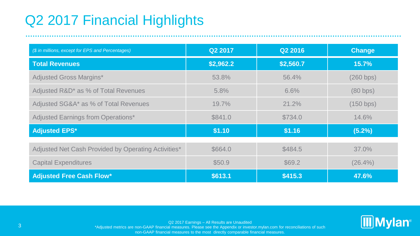# Q2 2017 Financial Highlights

| (\$ in millions, except for EPS and Percentages)    | Q2 2017   | Q2 2016   | <b>Change</b> |
|-----------------------------------------------------|-----------|-----------|---------------|
| <b>Total Revenues</b>                               | \$2,962.2 | \$2,560.7 | 15.7%         |
| <b>Adjusted Gross Margins*</b>                      | 53.8%     | 56.4%     | (260 bps)     |
| Adjusted R&D* as % of Total Revenues                | $5.8\%$   | 6.6%      | (80 bps)      |
| Adjusted SG&A* as % of Total Revenues               | 19.7%     | 21.2%     | (150 bps)     |
| <b>Adjusted Earnings from Operations*</b>           | \$841.0   | \$734.0   | 14.6%         |
| <b>Adjusted EPS*</b>                                | \$1.10    | \$1.16    | (5.2%)        |
| Adjusted Net Cash Provided by Operating Activities* | \$664.0   | \$484.5   | $37.0\%$      |
|                                                     |           |           |               |
| <b>Capital Expenditures</b>                         | \$50.9    | \$69.2    | $(26.4\%)$    |
| <b>Adjusted Free Cash Flow*</b>                     | \$613.1   | \$415.3   | 47.6%         |



Q2 2017 Earnings – All Results are Unaudited

3<br>Adjusted metrics are non-GAAP financial measures. Please see the Appendix or investor mylan.com for reconciliations of such

non-GAAP financial measures to the most directly comparable financial measures.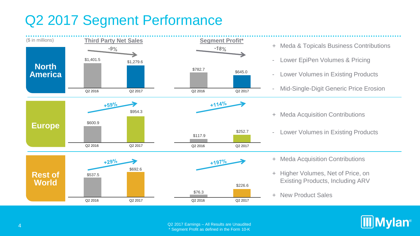# Q2 2017 Segment Performance

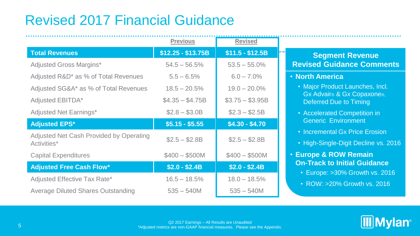# Revised 2017 Financial Guidance

|                                                        | <b>Previous</b>    | <b>Revised</b>   |
|--------------------------------------------------------|--------------------|------------------|
| <b>Total Revenues</b>                                  | $$12.25 - $13.75B$ | $$11.5 - $12.5B$ |
| <b>Adjusted Gross Margins*</b>                         | $54.5 - 56.5\%$    | $53.5 - 55.0\%$  |
| Adjusted R&D* as % of Total Revenues                   | $5.5 - 6.5%$       | $6.0 - 7.0\%$    |
| Adjusted SG&A* as % of Total Revenues                  | $18.5 - 20.5%$     | $19.0 - 20.0\%$  |
| Adjusted EBITDA*                                       | $$4.35 - $4.75B$   | $$3.75 - $3.95B$ |
| <b>Adjusted Net Earnings*</b>                          | $$2.8 - $3.0B$     | $$2.3 - $2.5B$   |
| <b>Adjusted EPS*</b>                                   | $$5.15 - $5.55$    | $$4.30 - $4.70$  |
| Adjusted Net Cash Provided by Operating<br>Activities* | $$2.5 - $2.8B$     | $$2.5 - $2.8B$   |
| <b>Capital Expenditures</b>                            | $$400 - $500M$     | $$400 - $500M$   |
| <b>Adjusted Free Cash Flow*</b>                        | $$2.0 - $2.4B$     | $$2.0 - $2.4B$   |
| Adjusted Effective Tax Rate*                           | $16.5 - 18.5%$     | $18.0 - 18.5\%$  |
| <b>Average Diluted Shares Outstanding</b>              | $535 - 540M$       | $535 - 540M$     |

## **Segment Revenue Revised Guidance Comments**

## • **North America**

- Major Product Launches, Incl. Gx Advair® & Gx Copaxone®, Deferred Due to Timing
- Accelerated Competition in Generic Environment
- Incremental Gx Price Erosion
- High-Single-Digit Decline vs. 2016

## • **Europe & ROW Remain On-Track to Initial Guidance**

- Europe: >30% Growth vs. 2016
- ROW: >20% Growth vs. 2016

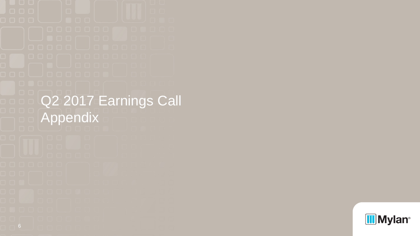Q2 2017 Earnings Call Appendix

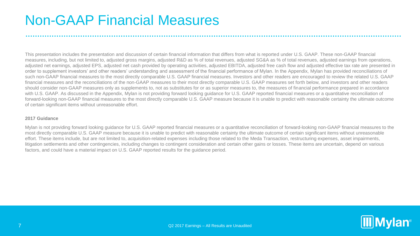# Non-GAAP Financial Measures

This presentation includes the presentation and discussion of certain financial information that differs from what is reported under U.S. GAAP. These non-GAAP financial measures, including, but not limited to, adjusted gross margins, adjusted R&D as % of total revenues, adjusted SG&A as % of total revenues, adjusted earnings from operations, adjusted net earnings, adjusted EPS, adjusted net cash provided by operating activities, adjusted EBITDA, adjusted free cash flow and adjusted effective tax rate are presented in order to supplement investors' and other readers' understanding and assessment of the financial performance of Mylan. In the Appendix, Mylan has provided reconciliations of such non-GAAP financial measures to the most directly comparable U.S. GAAP financial measures. Investors and other readers are encouraged to review the related U.S. GAAP financial measures and the reconciliations of the non-GAAP measures to their most directly comparable U.S. GAAP measures set forth below, and investors and other readers should consider non-GAAP measures only as supplements to, not as substitutes for or as superior measures to, the measures of financial performance prepared in accordance with U.S. GAAP. As discussed in the Appendix, Mylan is not providing forward looking guidance for U.S. GAAP reported financial measures or a quantitative reconciliation of forward-looking non-GAAP financial measures to the most directly comparable U.S. GAAP measure because it is unable to predict with reasonable certainty the ultimate outcome of certain significant items without unreasonable effort.

#### **2017 Guidance**

Mylan is not providing forward looking quidance for U.S. GAAP reported financial measures or a quantitative reconciliation of forward-looking non-GAAP financial measures to the most directly comparable U.S. GAAP measure because it is unable to predict with reasonable certainty the ultimate outcome of certain significant items without unreasonable effort. These items include, but are not limited to, acquisition-related expenses including those related to the Meda Transaction, restructuring expenses, asset impairments, litigation settlements and other contingencies, including changes to contingent consideration and certain other gains or losses. These items are uncertain, depend on various factors, and could have a material impact on U.S. GAAP reported results for the guidance period.

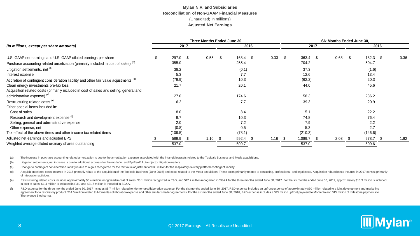|                                                                                                 | Three Months Ended June 30. |          |     |           |  |          |      |           |  | Six Months Ended June 30. |      |           |  |            |  |      |
|-------------------------------------------------------------------------------------------------|-----------------------------|----------|-----|-----------|--|----------|------|-----------|--|---------------------------|------|-----------|--|------------|--|------|
| (In millions, except per share amounts)                                                         |                             | 2017     |     |           |  | 2016     |      |           |  |                           | 2017 |           |  | 2016       |  |      |
| U.S. GAAP net earnings and U.S. GAAP diluted earnings per share                                 |                             | 297.0 \$ |     | $0.55$ \$ |  | 168.4 \$ |      | $0.33$ \$ |  | $363.4$ \$                |      | $0.68$ \$ |  | $182.3$ \$ |  | 0.36 |
| Purchase accounting related amortization (primarily included in cost of sales) (a)              |                             | 355.0    |     |           |  | 255.4    |      |           |  | 704.2                     |      |           |  | 504.7      |  |      |
| Litigation settlements, net (b)                                                                 |                             | 38.2     |     |           |  | (0.1)    |      |           |  | 37.3                      |      |           |  | (1.6)      |  |      |
| Interest expense                                                                                |                             | 5.3      |     |           |  | 7.7      |      |           |  | 12.6                      |      |           |  | 13.4       |  |      |
| Accretion of contingent consideration liability and other fair value adjustments <sup>(c)</sup> |                             | (79.9)   |     |           |  | 10.3     |      |           |  | (62.2)                    |      |           |  | 20.3       |  |      |
| Clean energy investments pre-tax loss                                                           |                             | 21.7     |     |           |  | 20.1     |      |           |  | 44.0                      |      |           |  | 45.6       |  |      |
| Acquisition related costs (primarily included in cost of sales and selling, general and         |                             |          |     |           |  |          |      |           |  |                           |      |           |  |            |  |      |
| administrative expense) (d)                                                                     |                             | 27.0     |     |           |  | 174.6    |      |           |  | 58.3                      |      |           |  | 236.2      |  |      |
| Restructuring related costs (e)                                                                 |                             | 16.2     |     |           |  | 7.7      |      |           |  | 39.3                      |      |           |  | 20.9       |  |      |
| Other special items included in:                                                                |                             |          |     |           |  |          |      |           |  |                           |      |           |  |            |  |      |
| Cost of sales                                                                                   |                             | 8.0      |     |           |  | 8.4      |      |           |  | 15.1                      |      |           |  | 22.2       |  |      |
| Research and development expense <sup>(f)</sup>                                                 |                             | 9.7      |     |           |  | 10.3     |      |           |  | 74.8                      |      |           |  | 76.4       |  |      |
| Selling, general and administrative expense                                                     |                             | 2.0      |     |           |  | 7.2      |      |           |  | 7.9                       |      |           |  | 2.2        |  |      |
| Other expense, net                                                                              |                             | (0.8)    |     |           |  | 0.5      |      |           |  | 5.3                       |      |           |  | 2.7        |  |      |
| Tax effect of the above items and other income tax related items                                |                             | (109.5)  |     |           |  | (78.1)   |      |           |  | (210.3)                   |      |           |  | (146.6)    |  |      |
| Adjusted net earnings and adjusted EPS                                                          |                             | 589.9    | - S | $1.10$ \$ |  | 592.4    | - 56 | $1.16$ \$ |  | 1,089.7                   |      | $2.03$ \$ |  | 978.7      |  | 1.92 |
| Weighted average diluted ordinary shares outstanding                                            |                             | 537.0    |     |           |  | 509.7    |      |           |  | 537.0                     |      |           |  | 509.6      |  |      |

(a) The increase in purchase accounting related amortization is due to the amortization expense associated with the intangible assets related to the Topicals Business and Meda acquisitions.

(b) Litigation settlements, net increase is due to additional accruals for the modafinil and EpiPen® Auto-Injector litigation matters.

(c) Change to contingent consideration liability is due to a gain recognized for the fair value adjustment of \$88 million for the respiratory delivery platform contingent liability.

(d) Acquisition related costs incurred in 2016 primarily relate to the acquisition of the Topicals Business (June 2016) and costs related to the Meda acquisition. These costs primarily related to consulting, professional, of integration activities.

(e) Restructuring related costs includes approximately \$3.4 million recognized in cost of sales, \$0.1 million recognized in R&D, and \$12.7 million recognized in RSD, and \$12.7 million recognized in RSD, and \$12.7 million r in cost of sales, \$1.4 million is included in R&D and \$21.6 million is included in SG&A.

(f) R&D expense for the three months ended June 30, 2017 includes \$8.7 million related to Momenta collaboration expense. For the six months ended June 30, 2017, R&D expense includes an upfront expense of approximately \$50 agreement for a respiratory product, \$14.5 million related to Momenta collaboration expense and other similar smaller agreements. For the six months ended June 30, 2016, R&D expense includes a \$45 million upfront payment t Theravance Biopharma.

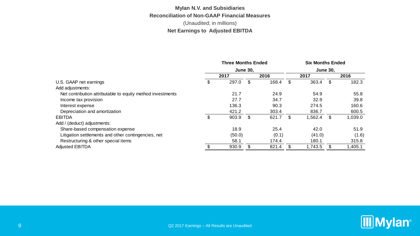### **Mylan N.V. and Subsidiaries Reconciliation of Non-GAAP Financial Measures** (Unaudited; in millions) **Net Earnings to Adjusted EBITDA**

|                                                            | <b>Three Months Ended</b> |        |     | <b>Six Months Ended</b> |                 |         |    |         |  |
|------------------------------------------------------------|---------------------------|--------|-----|-------------------------|-----------------|---------|----|---------|--|
|                                                            | <b>June 30.</b>           |        |     |                         | <b>June 30.</b> |         |    |         |  |
|                                                            |                           | 2017   |     | 2016                    |                 | 2017    |    | 2016    |  |
| U.S. GAAP net earnings                                     |                           | 297.0  | \$  | 168.4                   | \$.             | 363.4   | \$ | 182.3   |  |
| Add adjustments:                                           |                           |        |     |                         |                 |         |    |         |  |
| Net contribution attributable to equity method investments |                           | 21.7   |     | 24.9                    |                 | 54.9    |    | 55.8    |  |
| Income tax provision                                       |                           | 27.7   |     | 34.7                    |                 | 32.9    |    | 39.8    |  |
| Interest expense                                           |                           | 136.3  |     | 90.3                    |                 | 274.5   |    | 160.6   |  |
| Depreciation and amortization                              |                           | 421.2  |     | 303.4                   |                 | 836.7   |    | 600.5   |  |
| <b>EBITDA</b>                                              | \$                        | 903.9  | \$. | 621.7                   | \$.             | 1,562.4 | \$ | 1,039.0 |  |
| Add / (deduct) adjustments:                                |                           |        |     |                         |                 |         |    |         |  |
| Share-based compensation expense                           |                           | 18.9   |     | 25.4                    |                 | 42.0    |    | 51.9    |  |
| Litigation settlements and other contingencies, net        |                           | (50.0) |     | (0.1)                   |                 | (41.0)  |    | (1.6)   |  |
| Restructuring & other special items                        |                           | 58.1   |     | 174.4                   |                 | 180.1   |    | 315.8   |  |
| <b>Adjusted EBITDA</b>                                     |                           | 930.9  |     | 821.4                   |                 | 1.743.5 |    | 1,405.1 |  |

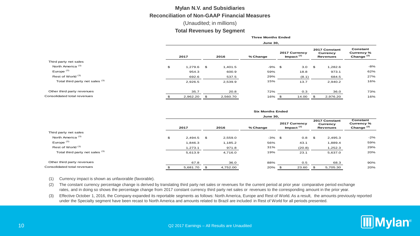#### **Mylan N.V. and Subsidiaries Reconciliation of Non-GAAP Financial Measures**

#### (Unaudited; in millions)

#### **Total Revenues by Segment**

**Three Months Ended**

|                                 |    | <b>June 30,</b> |    |          |          |    |                               |          |                                              |                                        |  |  |  |
|---------------------------------|----|-----------------|----|----------|----------|----|-------------------------------|----------|----------------------------------------------|----------------------------------------|--|--|--|
|                                 |    | 2017            |    | 2016     | % Change |    | 2017 Currency<br>Impact $(1)$ |          | 2017 Constant<br>Currency<br><b>Revenues</b> | Constant<br>Currency %<br>Change $(2)$ |  |  |  |
| Third party net sales           |    |                 |    |          |          |    |                               |          |                                              |                                        |  |  |  |
| North America <sup>(3)</sup>    | \$ | 1,279.6         | \$ | 1.401.5  | -9%      | \$ | 3.0                           | <b>S</b> | 1,282.6                                      | $-8%$                                  |  |  |  |
| Europe $(3)$                    |    | 954.3           |    | 600.9    | 59%      |    | 18.8                          |          | 973.1                                        | 62%                                    |  |  |  |
| Rest of World <sup>(3)</sup>    |    | 692.6           |    | 537.5    | 29%      |    | (8.1)                         |          | 684.5                                        | 27%                                    |  |  |  |
| Total third party net sales (3) |    | 2,926.5         |    | 2,539.9  | 15%      |    | 13.7                          |          | 2,940.2                                      | 16%                                    |  |  |  |
| Other third party revenues      |    | 35.7            |    | 20.8     | 72%      |    | 0.3                           |          | 36.0                                         | 73%                                    |  |  |  |
| Consolidated total revenues     |    | 2,962.20        | \$ | 2,560.70 | 16%      | \$ | 14.00                         |          | 2,976.20                                     | 16%                                    |  |  |  |

|                                                                                                                                                                                                                                                                                                                                                | 2017           | 2016 |          | % Change                | Impact $(1)$                  | <b>Revenues</b>                              | Change <sup>(2)</sup>                  |
|------------------------------------------------------------------------------------------------------------------------------------------------------------------------------------------------------------------------------------------------------------------------------------------------------------------------------------------------|----------------|------|----------|-------------------------|-------------------------------|----------------------------------------------|----------------------------------------|
| Third party net sales                                                                                                                                                                                                                                                                                                                          |                |      |          |                         |                               |                                              |                                        |
| North America <sup>(3)</sup>                                                                                                                                                                                                                                                                                                                   | \$<br>1,279.6  | \$   | 1,401.5  | $-9%$ \$                | 3.0                           | \$<br>1,282.6                                | $-8%$                                  |
| Europe $(3)$                                                                                                                                                                                                                                                                                                                                   | 954.3          |      | 600.9    | 59%                     | 18.8                          | 973.1                                        | 62%                                    |
| Rest of World <sup>(3)</sup>                                                                                                                                                                                                                                                                                                                   | 692.6          |      | 537.5    | 29%                     | (8.1)                         | 684.5                                        | 27%                                    |
| Total third party net sales (3)                                                                                                                                                                                                                                                                                                                | 2,926.5        |      | 2,539.9  | 15%                     | 13.7                          | 2,940.2                                      | 16%                                    |
| Other third party revenues                                                                                                                                                                                                                                                                                                                     | 35.7           |      | 20.8     | 72%                     | 0.3                           | 36.0                                         | 73%                                    |
| Consolidated total revenues                                                                                                                                                                                                                                                                                                                    | \$<br>2,962.20 | \$   | 2,560.70 | 16% \$                  | 14.00                         | \$<br>2,976.20                               | 16%                                    |
|                                                                                                                                                                                                                                                                                                                                                |                |      |          | <b>Six Months Ended</b> |                               |                                              |                                        |
|                                                                                                                                                                                                                                                                                                                                                |                |      |          | <b>June 30,</b>         |                               |                                              |                                        |
|                                                                                                                                                                                                                                                                                                                                                | 2017           |      | 2016     | % Change                | 2017 Currency<br>Impact $(1)$ | 2017 Constant<br>Currency<br><b>Revenues</b> | Constant<br>Currency %<br>Change $(2)$ |
| Third party net sales                                                                                                                                                                                                                                                                                                                          |                |      |          |                         |                               |                                              |                                        |
| North America <sup>(3)</sup>                                                                                                                                                                                                                                                                                                                   | \$<br>2,494.5  | \$   | 2,559.0  | $-3%$                   | \$<br>0.8                     | \$<br>2,495.3                                | $-2%$                                  |
| Europe $(3)$                                                                                                                                                                                                                                                                                                                                   | 1,846.3        |      | 1,185.2  | 56%                     | 43.1                          | 1,889.4                                      | 59%                                    |
| Rest of World <sup>(3)</sup>                                                                                                                                                                                                                                                                                                                   | 1,273.1        |      | 971.8    | 31%                     | (20.8)                        | 1,252.3                                      | 29%                                    |
| Total third party net sales (3)                                                                                                                                                                                                                                                                                                                | 5,613.9        |      | 4,716.0  | 19%                     | 23.1                          | 5,637.0                                      | 20%                                    |
| Other third party revenues                                                                                                                                                                                                                                                                                                                     | 67.8           |      | 36.0     | 88%                     | 0.5                           | 68.3                                         | 90%                                    |
| Consolidated total revenues                                                                                                                                                                                                                                                                                                                    | \$<br>5,681.70 | \$   | 4,752.00 | 20% \$                  | 23.60                         | \$<br>5,705.30                               | 20%                                    |
| Currency impact is shown as unfavorable (favorable).<br>(1)                                                                                                                                                                                                                                                                                    |                |      |          |                         |                               |                                              |                                        |
| The constant currency percentage change is derived by translating third party net sales or revenues for the current period at prior year comparative period exchange<br>(2)<br>rates, and in doing so shows the percentage change from 2017 constant currency third party net sales or revenues to the corresponding amount in the prior year. |                |      |          |                         |                               |                                              |                                        |
| Effective October 1, 2016, the Company expanded its reportable segments as follows: North America, Europe and Rest of World. As a result, the amounts previously reported<br>(3)<br>under the Specialty segment have been recast to North America and amounts related to Brazil are included in Rest of World for all periods presented.       |                |      |          |                         |                               |                                              |                                        |

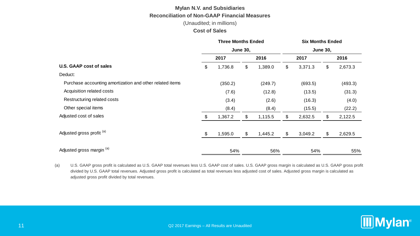## **Mylan N.V. and Subsidiaries Reconciliation of Non-GAAP Financial Measures**

(Unaudited; in millions)

#### **Cost of Sales**

|                                                          | <b>Three Months Ended</b> |         |    | <b>Six Months Ended</b> |                 |         |    |         |  |  |
|----------------------------------------------------------|---------------------------|---------|----|-------------------------|-----------------|---------|----|---------|--|--|
|                                                          | <b>June 30,</b>           |         |    |                         | <b>June 30,</b> |         |    |         |  |  |
|                                                          |                           | 2017    |    | 2016                    |                 | 2017    |    | 2016    |  |  |
| U.S. GAAP cost of sales                                  | \$                        | 1,736.8 | \$ | 1,389.0                 | \$              | 3,371.3 | \$ | 2,673.3 |  |  |
| Deduct:                                                  |                           |         |    |                         |                 |         |    |         |  |  |
| Purchase accounting amortization and other related items |                           | (350.2) |    | (249.7)                 |                 | (693.5) |    | (493.3) |  |  |
| Acquisition related costs                                |                           | (7.6)   |    | (12.8)                  |                 | (13.5)  |    | (31.3)  |  |  |
| Restructuring related costs                              |                           | (3.4)   |    | (2.6)                   |                 | (16.3)  |    | (4.0)   |  |  |
| Other special items                                      |                           | (8.4)   |    | (8.4)                   |                 | (15.5)  |    | (22.2)  |  |  |
| Adjusted cost of sales                                   | \$                        | 1,367.2 | \$ | 1,115.5                 | \$              | 2,632.5 | \$ | 2,122.5 |  |  |
| Adjusted gross profit (a)                                | \$                        | 1,595.0 | \$ | 1,445.2                 | \$              | 3,049.2 | \$ | 2,629.5 |  |  |
| Adjusted gross margin (a)                                |                           | 54%     |    | 56%                     |                 | 54%     |    | 55%     |  |  |

(a) U.S. GAAP gross profit is calculated as U.S. GAAP total revenues less U.S. GAAP cost of sales. U.S. GAAP gross margin is calculated as U.S. GAAP gross profit divided by U.S. GAAP total revenues. Adjusted gross profit is calculated as total revenues less adjusted cost of sales. Adjusted gross margin is calculated as adjusted gross profit divided by total revenues.

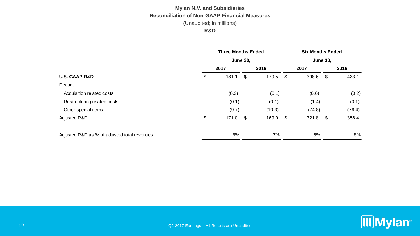#### **R&D**

|                                              |    | <b>Three Months Ended</b><br><b>June 30,</b> |      |        |      | <b>Six Months Ended</b> |      |        |  |  |  |  |
|----------------------------------------------|----|----------------------------------------------|------|--------|------|-------------------------|------|--------|--|--|--|--|
|                                              |    |                                              |      |        |      | <b>June 30,</b>         |      |        |  |  |  |  |
|                                              |    | 2017                                         |      | 2016   |      | 2017                    |      | 2016   |  |  |  |  |
| <b>U.S. GAAP R&amp;D</b>                     | \$ | 181.1                                        | \$   | 179.5  | - \$ | 398.6                   | - \$ | 433.1  |  |  |  |  |
| Deduct:                                      |    |                                              |      |        |      |                         |      |        |  |  |  |  |
| Acquisition related costs                    |    | (0.3)                                        |      | (0.1)  |      | (0.6)                   |      | (0.2)  |  |  |  |  |
| Restructuring related costs                  |    | (0.1)                                        |      | (0.1)  |      | (1.4)                   |      | (0.1)  |  |  |  |  |
| Other special items                          |    | (9.7)                                        |      | (10.3) |      | (74.8)                  |      | (76.4) |  |  |  |  |
| Adjusted R&D                                 | \$ | 171.0                                        | - \$ | 169.0  | - \$ | 321.8                   | - \$ | 356.4  |  |  |  |  |
|                                              |    |                                              |      |        |      |                         |      |        |  |  |  |  |
| Adjusted R&D as % of adjusted total revenues |    | 6%                                           |      | 7%     |      | 6%                      |      | 8%     |  |  |  |  |

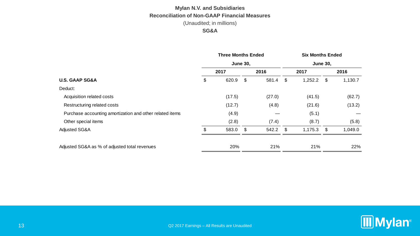#### **SG&A**

|                                                          | <b>Three Months Ended</b> |      | <b>Six Months Ended</b> |    |                 |      |         |  |  |  |
|----------------------------------------------------------|---------------------------|------|-------------------------|----|-----------------|------|---------|--|--|--|
|                                                          | <b>June 30,</b>           |      |                         |    | <b>June 30,</b> |      |         |  |  |  |
|                                                          | 2017                      |      | 2016                    |    | 2017            |      | 2016    |  |  |  |
| <b>U.S. GAAP SG&amp;A</b>                                | \$<br>620.9               | \$   | 581.4                   | \$ | 1,252.2         | - \$ | 1,130.7 |  |  |  |
| Deduct:                                                  |                           |      |                         |    |                 |      |         |  |  |  |
| Acquisition related costs                                | (17.5)                    |      | (27.0)                  |    | (41.5)          |      | (62.7)  |  |  |  |
| Restructuring related costs                              | (12.7)                    |      | (4.8)                   |    | (21.6)          |      | (13.2)  |  |  |  |
| Purchase accounting amortization and other related items | (4.9)                     |      |                         |    | (5.1)           |      |         |  |  |  |
| Other special items                                      | (2.8)                     |      | (7.4)                   |    | (8.7)           |      | (5.8)   |  |  |  |
| Adjusted SG&A                                            | \$<br>583.0               | - \$ | 542.2 \$                |    | $1,175.3$ \$    |      | 1,049.0 |  |  |  |
| Adjusted SG&A as % of adjusted total revenues            | 20%                       |      | 21%                     |    | 21%             |      | 22%     |  |  |  |
|                                                          |                           |      |                         |    |                 |      |         |  |  |  |

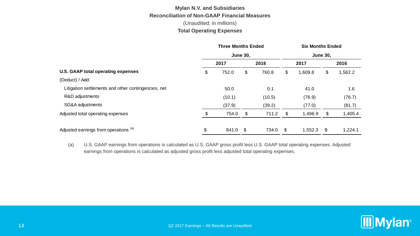#### **Total Operating Expenses**

|                                                     | <b>Three Months Ended</b> |                 |          |        | <b>Six Months Ended</b> |                 |    |         |  |  |
|-----------------------------------------------------|---------------------------|-----------------|----------|--------|-------------------------|-----------------|----|---------|--|--|
|                                                     |                           | <b>June 30,</b> |          |        |                         | <b>June 30,</b> |    |         |  |  |
|                                                     |                           | 2017            |          | 2016   |                         | 2017            |    | 2016    |  |  |
| U.S. GAAP total operating expenses                  | \$                        | 752.0           | \$       | 760.8  | \$                      | 1,609.8         | \$ | 1,562.2 |  |  |
| (Deduct) / Add:                                     |                           |                 |          |        |                         |                 |    |         |  |  |
| Litigation settlements and other contingencies, net |                           | 50.0            |          | 0.1    |                         | 41.0            |    | 1.6     |  |  |
| R&D adjustments                                     |                           | (10.1)          |          | (10.5) |                         | (76.9)          |    | (76.7)  |  |  |
| SG&A adjustments                                    |                           | (37.9)          |          | (39.2) |                         | (77.0)          |    | (81.7)  |  |  |
| Adjusted total operating expenses                   | \$                        | 754.0           | \$       | 711.2  | \$                      | 1,496.9         | \$ | 1,405.4 |  |  |
| Adjusted earnings from operations (a)               | \$                        | 841.0           | <b>S</b> | 734.0  | \$.                     | 1,552.3         | \$ | 1,224.1 |  |  |

(a) U.S. GAAP earnings from operations is calculated as U.S. GAAP gross profit less U.S. GAAP total operating expenses. Adjusted earnings from operations is calculated as adjusted gross profit less adjusted total operating expenses.

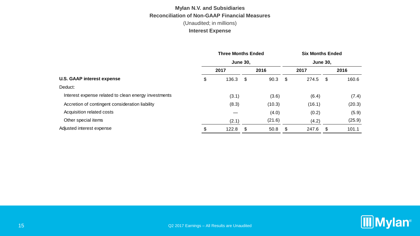|                                                      | <b>Three Months Ended</b> |       |    |                 | <b>Six Months Ended</b> |        |      |        |  |  |
|------------------------------------------------------|---------------------------|-------|----|-----------------|-------------------------|--------|------|--------|--|--|
|                                                      | <b>June 30,</b>           |       |    | <b>June 30.</b> |                         |        |      |        |  |  |
|                                                      |                           | 2017  |    | 2016            |                         | 2017   |      | 2016   |  |  |
| U.S. GAAP interest expense                           | \$                        | 136.3 | \$ | 90.3            | -\$                     | 274.5  | - \$ | 160.6  |  |  |
| Deduct:                                              |                           |       |    |                 |                         |        |      |        |  |  |
| Interest expense related to clean energy investments |                           | (3.1) |    | (3.6)           |                         | (6.4)  |      | (7.4)  |  |  |
| Accretion of contingent consideration liability      |                           | (8.3) |    | (10.3)          |                         | (16.1) |      | (20.3) |  |  |
| Acquisition related costs                            |                           |       |    | (4.0)           |                         | (0.2)  |      | (5.9)  |  |  |
| Other special items                                  |                           | (2.1) |    | (21.6)          |                         | (4.2)  |      | (25.9) |  |  |
| Adjusted interest expense                            |                           | 122.8 | £. | 50.8            |                         | 247.6  | -\$  | 101.1  |  |  |

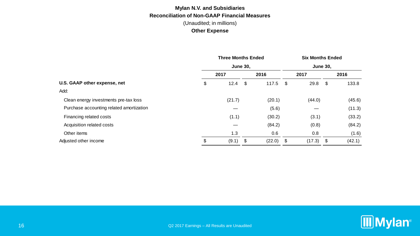|                                          | <b>Three Months Ended</b><br><b>June 30,</b> |        |      |            | <b>Six Months Ended</b><br><b>June 30,</b> |             |    |        |  |
|------------------------------------------|----------------------------------------------|--------|------|------------|--------------------------------------------|-------------|----|--------|--|
|                                          |                                              |        |      |            |                                            |             |    |        |  |
|                                          |                                              | 2017   |      | 2016       |                                            | 2017        |    | 2016   |  |
| U.S. GAAP other expense, net             | \$                                           | 12.4   | - \$ | $117.5$ \$ |                                            | 29.8        | \$ | 133.8  |  |
| Add:                                     |                                              |        |      |            |                                            |             |    |        |  |
| Clean energy investments pre-tax loss    |                                              | (21.7) |      | (20.1)     |                                            | (44.0)      |    | (45.6) |  |
| Purchase accounting related amortization |                                              |        |      | (5.6)      |                                            |             |    | (11.3) |  |
| Financing related costs                  |                                              | (1.1)  |      | (30.2)     |                                            | (3.1)       |    | (33.2) |  |
| Acquisition related costs                |                                              |        |      | (84.2)     |                                            | (0.8)       |    | (84.2) |  |
| Other items                              |                                              | 1.3    |      | 0.6        |                                            | 0.8         |    | (1.6)  |  |
| Adjusted other income                    | \$                                           | (9.1)  | - \$ | (22.0)     | - \$                                       | $(17.3)$ \$ |    | (42.1) |  |

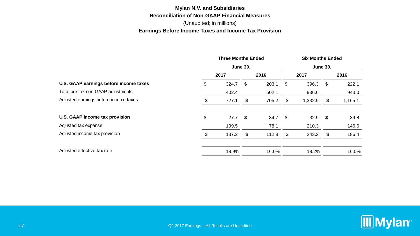### **Mylan N.V. and Subsidiaries Reconciliation of Non-GAAP Financial Measures** (Unaudited; in millions) **Earnings Before Income Taxes and Income Tax Provision**

|                                        | <b>Three Months Ended</b> |       |    |                |    | <b>Six Months Ended</b> |    |         |  |  |  |
|----------------------------------------|---------------------------|-------|----|----------------|----|-------------------------|----|---------|--|--|--|
|                                        | <b>June 30,</b>           |       |    |                |    | <b>June 30,</b>         |    |         |  |  |  |
|                                        | 2017                      |       |    | 2016           |    | 2017                    |    | 2016    |  |  |  |
| U.S. GAAP earnings before income taxes | \$                        | 324.7 | \$ | 203.1          | \$ | 396.3                   | \$ | 222.1   |  |  |  |
| Total pre tax non-GAAP adjustments     |                           | 402.4 |    | 502.1          |    | 936.6                   |    | 943.0   |  |  |  |
| Adjusted earnings before income taxes  | \$                        | 727.1 | \$ | 705.2          | \$ | 1,332.9                 | \$ | 1,165.1 |  |  |  |
| U.S. GAAP income tax provision         | \$                        | 27.7  | \$ | $34.7\quad$ \$ |    | $32.9$ \$               |    | 39.8    |  |  |  |
| Adjusted tax expense                   |                           | 109.5 |    | 78.1           |    | 210.3                   |    | 146.6   |  |  |  |
| Adjusted income tax provision          |                           | 137.2 | \$ | 112.8          | \$ | 243.2                   | \$ | 186.4   |  |  |  |
| Adjusted effective tax rate            |                           | 18.9% |    | 16.0%          |    | 18.2%                   |    | 16.0%   |  |  |  |

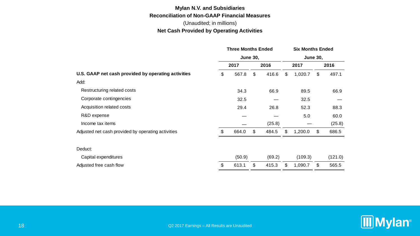#### **Net Cash Provided by Operating Activities**

|                                                     | <b>Three Months Ended</b> |        |      | <b>Six Months Ended</b> |      |                 |    |         |  |
|-----------------------------------------------------|---------------------------|--------|------|-------------------------|------|-----------------|----|---------|--|
|                                                     | <b>June 30,</b>           |        |      |                         |      | <b>June 30,</b> |    |         |  |
|                                                     | 2017                      |        | 2016 |                         | 2017 |                 |    | 2016    |  |
| U.S. GAAP net cash provided by operating activities |                           | 567.8  | \$   | 416.6                   | \$   | 1,020.7         | \$ | 497.1   |  |
| Add:                                                |                           |        |      |                         |      |                 |    |         |  |
| Restructuring related costs                         |                           | 34.3   |      | 66.9                    |      | 89.5            |    | 66.9    |  |
| Corporate contingencies                             |                           | 32.5   |      |                         |      | 32.5            |    |         |  |
| Acquisition related costs                           |                           | 29.4   |      | 26.8                    |      | 52.3            |    | 88.3    |  |
| R&D expense                                         |                           |        |      |                         |      | 5.0             |    | 60.0    |  |
| Income tax items                                    |                           |        |      | (25.8)                  |      |                 |    | (25.8)  |  |
| Adjusted net cash provided by operating activities  | \$                        | 664.0  | \$   | 484.5                   | \$   | 1,200.0         | \$ | 686.5   |  |
| Deduct:                                             |                           |        |      |                         |      |                 |    |         |  |
| Capital expenditures                                |                           | (50.9) |      | (69.2)                  |      | (109.3)         |    | (121.0) |  |
| Adjusted free cash flow                             | \$                        | 613.1  | \$   | 415.3                   | \$   | 1,090.7         | \$ | 565.5   |  |

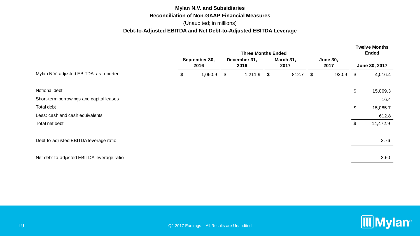#### **Mylan N.V. and Subsidiaries Reconciliation of Non-GAAP Financial Measures**

#### (Unaudited; in millions)

#### **Debt-to-Adjusted EBITDA and Net Debt-to-Adjusted EBITDA Leverage**

|                                            |                       |    | <b>Three Months Ended</b> |  | <b>Twelve Months</b><br>Ended |          |                         |      |               |
|--------------------------------------------|-----------------------|----|---------------------------|--|-------------------------------|----------|-------------------------|------|---------------|
|                                            | September 30,<br>2016 |    | December 31,<br>2016      |  | March 31,<br>2017             |          | <b>June 30,</b><br>2017 |      | June 30, 2017 |
| Mylan N.V. adjusted EBITDA, as reported    | \$<br>1,060.9         | \$ | $1,211.9$ \$              |  | 812.7                         | <b>S</b> | 930.9                   | - \$ | 4,016.4       |
| Notional debt                              |                       |    |                           |  |                               |          |                         | \$   | 15,069.3      |
| Short-term borrowings and capital leases   |                       |    |                           |  |                               |          |                         |      | 16.4          |
| Total debt                                 |                       |    |                           |  |                               |          |                         | \$   | 15,085.7      |
| Less: cash and cash equivalents            |                       |    |                           |  |                               |          |                         |      | 612.8         |
| Total net debt                             |                       |    |                           |  |                               |          |                         | \$.  | 14,472.9      |
|                                            |                       |    |                           |  |                               |          |                         |      |               |
| Debt-to-adjusted EBITDA leverage ratio     |                       |    |                           |  |                               |          |                         |      | 3.76          |
|                                            |                       |    |                           |  |                               |          |                         |      |               |
| Net debt-to-adjusted EBITDA leverage ratio |                       |    |                           |  |                               |          |                         |      | 3.60          |
|                                            |                       |    |                           |  |                               |          |                         |      |               |

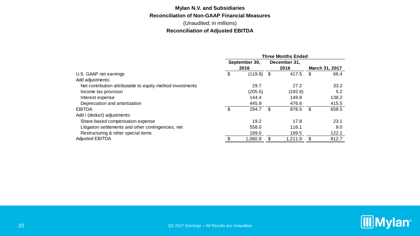## **Mylan N.V. and Subsidiaries Reconciliation of Non-GAAP Financial Measures**

(Unaudited; in millions) **Reconciliation of Adjusted EBITDA**

|                                                            | <b>Three Months Ended</b> |              |    |              |    |                       |  |
|------------------------------------------------------------|---------------------------|--------------|----|--------------|----|-----------------------|--|
|                                                            | September 30,<br>2016     |              |    | December 31, |    |                       |  |
|                                                            |                           |              |    | 2016         |    | <b>March 31, 2017</b> |  |
| U.S. GAAP net earnings                                     | \$                        | $(119.8)$ \$ |    | 417.5        | \$ | 66.4                  |  |
| Add adjustments:                                           |                           |              |    |              |    |                       |  |
| Net contribution attributable to equity method investments |                           | 29.7         |    | 27.2         |    | 33.2                  |  |
| Income tax provision                                       |                           | (205.5)      |    | (192.6)      |    | 5.2                   |  |
| Interest expense                                           |                           | 144.4        |    | 149.8        |    | 138.2                 |  |
| Depreciation and amortization                              |                           | 445.9        |    | 476.6        |    | 415.5                 |  |
| <b>EBITDA</b>                                              | \$                        | 294.7        | \$ | 878.5        | \$ | 658.5                 |  |
| Add / (deduct) adjustments:                                |                           |              |    |              |    |                       |  |
| Share-based compensation expense                           |                           | 19.2         |    | 17.8         |    | 23.1                  |  |
| Litigation settlements and other contingencies, net        |                           | 558.0        |    | 116.1        |    | 9.0                   |  |
| Restructuring & other special items                        |                           | 189.0        |    | 199.5        |    | 122.1                 |  |
| <b>Adjusted EBITDA</b>                                     |                           | 1,060.9      |    | 1,211.9      |    | 812.7                 |  |

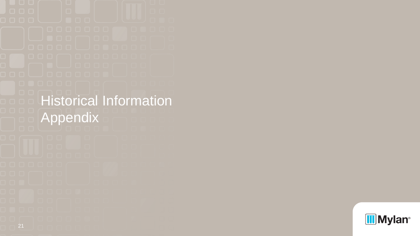Historical Information Appendix

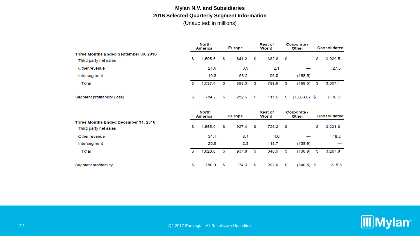### **Mylan N.V. and Subsidiaries 2016 Selected Quarterly Segment Information** (Unaudited; in millions)

|                                                                | <b>North</b><br><b>America</b> |    | <b>Europe</b> |    | <b>Rest of</b><br>World |      | Corporate /<br><b>Other</b> |    | <b>Consolidated</b> |  |
|----------------------------------------------------------------|--------------------------------|----|---------------|----|-------------------------|------|-----------------------------|----|---------------------|--|
| Three Months Ended September 30, 2016<br>Third party net sales | \$<br>1,505.5                  | \$ | 841.2         | \$ | 682.8                   | - \$ | $\overline{\phantom{0}}$    | \$ | 3.029.5             |  |
| Other revenue                                                  | 21.6                           |    | 3.9           |    | 2.1                     |      |                             |    | 27.6                |  |
| Intersegment                                                   | 10.3                           |    | 53.2          |    | 105.0                   |      | (168.5)                     |    |                     |  |
| Total                                                          | \$<br>1,537.4                  | \$ | 898.3         | \$ | 789.9                   | \$   | (168.5)                     | \$ | 3.057.1             |  |
| Segment profitability (loss)                                   | \$<br>784.7                    | \$ | 252.6         | \$ | 115.6                   | \$   | $(1,283.6)$ \$              |    | (130.7)             |  |

|                                                               | <b>North</b><br>America |    | <b>Europe</b> |    | <b>Rest of</b><br>World |      | Corporate /<br><b>Other</b> |    | <b>Consolidated</b> |  |
|---------------------------------------------------------------|-------------------------|----|---------------|----|-------------------------|------|-----------------------------|----|---------------------|--|
| Three Months Ended December 31, 2016<br>Third party net sales | \$<br>1.565.0           | \$ | 927.4         | \$ | 729.2                   | - \$ |                             | \$ | 3,221.6             |  |
| Other revenue                                                 | 34.1                    |    | 8.1           |    | 4.0                     |      |                             |    | 46.2                |  |
| Intersegment                                                  | 20.9                    |    | 2.3           |    | 115.7                   |      | (138.9)                     |    |                     |  |
| Total                                                         | \$<br>1.620.0           | \$ | 937.8         | \$ | 848.9                   | \$   | (138.9)                     | \$ | 3.267.8             |  |
| Segment profitability                                         | \$<br>780.0             | \$ | 174.3         | \$ | 202.0                   | \$   | $(840.5)$ \$                |    | 315.8               |  |

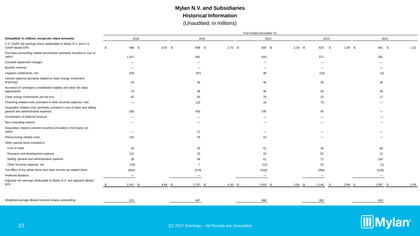### **Mylan N.V. and Subsidiaries Historical Information** (Unaudited; in millions)

| 2016                     |                          |                      |           |                          |                                              |
|--------------------------|--------------------------|----------------------|-----------|--------------------------|----------------------------------------------|
|                          | 2015                     | 2014                 | 2013      | 2012                     |                                              |
| 480 \$<br>- \$           | $0.92$ \$                | $1.70$ \$            | $2.34$ \$ | $1.58$ \$                | 1.52                                         |
| 1,412                    | 901                      | 419                  | 371       | 391                      |                                              |
| -                        |                          |                      | -         |                          |                                              |
| $\equiv$                 |                          |                      | -         |                          |                                              |
| 639                      | (97)                     | 48                   | (10)      | (3)                      |                                              |
| 24                       | 46                       | 46                   | 38        | 36                       |                                              |
| 75                       | 38                       | 35                   | 35        | 39                       |                                              |
| 92                       | 93                       | 79                   | 22        | 17                       |                                              |
|                          | 112                      | 33                   | 73        |                          |                                              |
| 335                      | 420                      | 140                  | 50        |                          |                                              |
|                          |                          |                      |           |                          |                                              |
| -                        | -                        |                      | -         |                          |                                              |
|                          | 17                       |                      |           |                          |                                              |
| 150                      | 19                       | 10                   |           |                          |                                              |
|                          |                          |                      |           |                          |                                              |
| 45                       | 36                       | 41                   | 49        | 66                       |                                              |
| 121                      | 20                       | 18                   | 52        | 12                       |                                              |
| 36                       | 48                       | 61                   | 71        | 105                      |                                              |
| (19)                     | $\overline{7}$           | (11)                 | 25        | (1)                      |                                              |
| (844)                    | (370)                    | (432)                | (260)     | (216)                    |                                              |
| $\overline{\phantom{m}}$ | $\overline{\phantom{0}}$ | $\qquad \qquad$      |           | $\overline{\phantom{a}}$ |                                              |
| $2,547$ \$               | 4.89S                    | $4.30$ \$            | $3.56$ \$ | $2.89$ \$                | 2.59                                         |
| 521                      | 497                      | 398                  | 395       | 420                      |                                              |
|                          |                          | 848 \$<br>$2,137$ \$ |           | 929 \$<br>$1,416$ \$     | 624 \$<br>641 \$<br>$1,087$ \$<br>$1,140$ \$ |

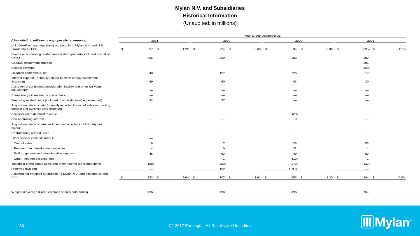### **Mylan N.V. and Subsidiaries Historical Information** (Unaudited; in millions)

|                                                                                                                    | Year Ended December 31,  |                |                       |          |           |                 |        |  |  |  |  |  |  |  |
|--------------------------------------------------------------------------------------------------------------------|--------------------------|----------------|-----------------------|----------|-----------|-----------------|--------|--|--|--|--|--|--|--|
| (Unaudited; in millions, except per share amounts)                                                                 | 2011                     |                | 2010                  | 2009     |           | 2008            |        |  |  |  |  |  |  |  |
| U.S. GAAP net earnings (loss) attributable to Mylan N.V. and U.S.<br><b>GAAP diluted EPS</b>                       | 537 \$<br>\$             | $1.22$ \$      | $224$ \$<br>$0.68$ \$ | 94 \$    | $0.30$ \$ | $(335)$ \$      | (1.10) |  |  |  |  |  |  |  |
| Purchase accounting related amortization (primarily included in cost of<br>sales)                                  | 365                      | 309            |                       | 283      |           | 489             |        |  |  |  |  |  |  |  |
| Goodwill impairment charges                                                                                        |                          |                |                       |          |           | 385             |        |  |  |  |  |  |  |  |
| Bystolic revenue                                                                                                   |                          |                |                       |          |           | (468)           |        |  |  |  |  |  |  |  |
| Litigation settlements, net                                                                                        | 49                       | 127            |                       | 226      |           | 17              |        |  |  |  |  |  |  |  |
| Interest expense (primarily related to clean energy investment<br>financing)                                       | 49                       | 60             |                       | 43       |           | 30              |        |  |  |  |  |  |  |  |
| Accretion of contingent consideration liability and other fair value<br>adjustments                                |                          |                |                       |          |           |                 |        |  |  |  |  |  |  |  |
| Clean energy investments pre-tax loss                                                                              |                          |                |                       |          |           |                 |        |  |  |  |  |  |  |  |
| Financing related costs (included in other (income) expense, net)                                                  | 34                       | 37             |                       |          |           |                 |        |  |  |  |  |  |  |  |
| Acquisition related costs (primarily included in cost of sales and selling,<br>general and administrative expense) |                          |                |                       |          |           |                 |        |  |  |  |  |  |  |  |
| Acceleration of deferred revenue                                                                                   |                          |                |                       | (29)     |           |                 |        |  |  |  |  |  |  |  |
| Non-controlling interest                                                                                           |                          |                |                       | <b>q</b> |           |                 |        |  |  |  |  |  |  |  |
| Acquisition related customer incentive (included in third party net<br>sales)                                      |                          |                |                       |          |           |                 |        |  |  |  |  |  |  |  |
| Restructuring related costs                                                                                        |                          |                |                       |          |           |                 |        |  |  |  |  |  |  |  |
| Other special items included in:                                                                                   |                          |                |                       |          |           |                 |        |  |  |  |  |  |  |  |
| Cost of sales                                                                                                      |                          | $\overline{7}$ |                       | 33       |           | 53              |        |  |  |  |  |  |  |  |
| Research and development expense                                                                                   |                          | 10             |                       | 22       |           | 14              |        |  |  |  |  |  |  |  |
| Selling, general and administrative expense                                                                        | 45                       | 63             |                       | 49       |           | 89              |        |  |  |  |  |  |  |  |
| Other (income) expense, net                                                                                        |                          | -1             |                       | (13)     |           |                 |        |  |  |  |  |  |  |  |
| Tax effect of the above items and other income tax related items                                                   | (198)                    | (253)          |                       | (273)    |           | (31)            |        |  |  |  |  |  |  |  |
| Preferred dividend                                                                                                 | $\overline{\phantom{a}}$ | 122            |                       | 139.0    |           |                 |        |  |  |  |  |  |  |  |
| Adjusted net earnings attributable to Mylan N.V. and adjusted diluted<br><b>EPS</b>                                | 893 \$                   | $2.04$ \$      | 707 \$<br>$1.61$ \$   | 583 \$   | $1.30$ \$ | 244<br><b>S</b> | 0.80   |  |  |  |  |  |  |  |
| Weighted average diluted common shares outstanding                                                                 | 439                      | 438            |                       | 450      |           | 304             |        |  |  |  |  |  |  |  |